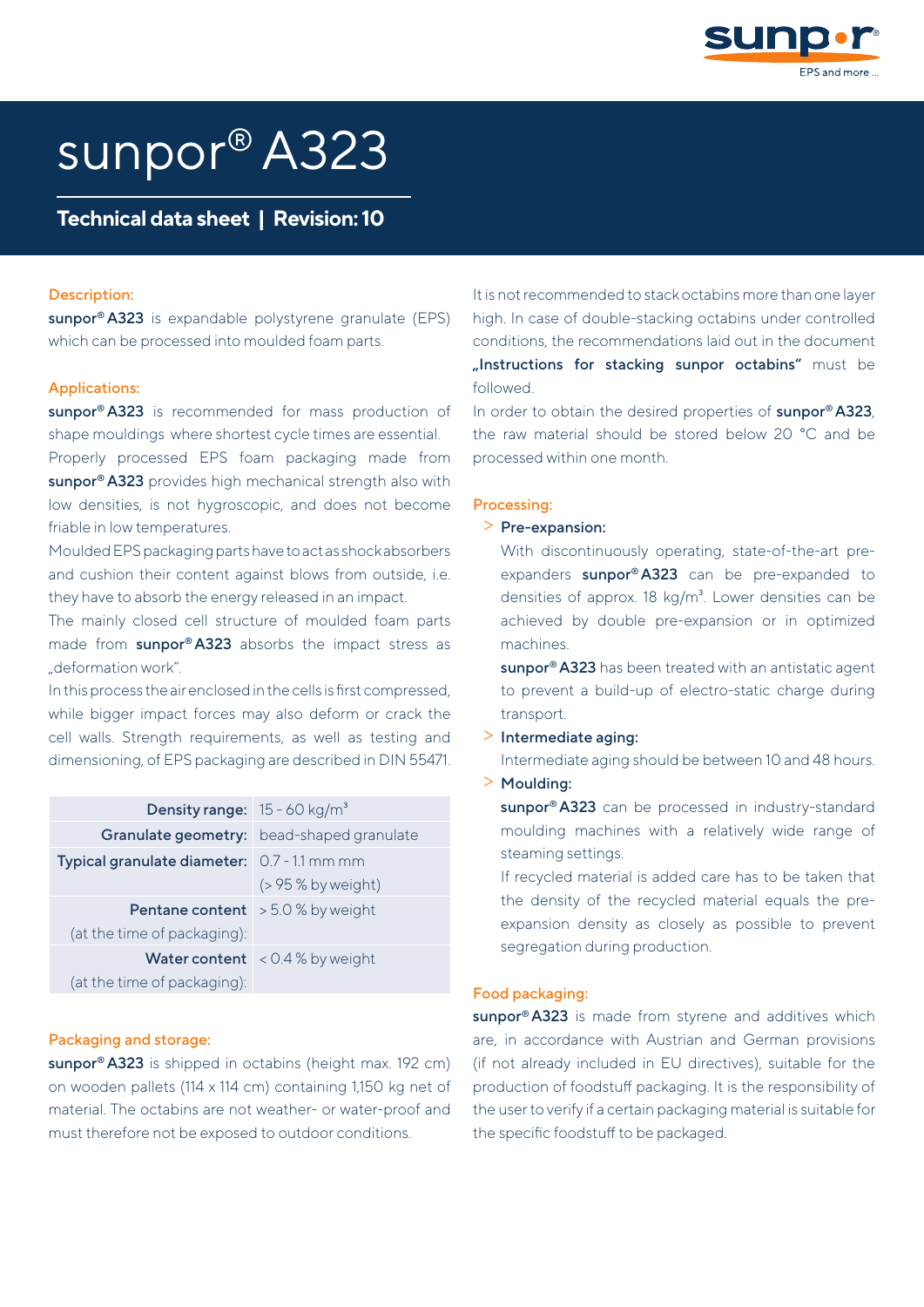

# sunpor® A323

# **Technical data sheet | Revision: 10**

#### Description:

sunpor<sup>®</sup> A323 is expandable polystyrene granulate (EPS) which can be processed into moulded foam parts.

#### Applications:

sunpor<sup>®</sup> A323 is recommended for mass production of shape mouldings where shortest cycle times are essential.

Properly processed EPS foam packaging made from sunpor<sup>®</sup> A323 provides high mechanical strength also with low densities, is not hygroscopic, and does not become friable in low temperatures.

Moulded EPS packaging parts have to act as shock absorbers and cushion their content against blows from outside, i.e. they have to absorb the energy released in an impact.

The mainly closed cell structure of moulded foam parts made from sunpor® A323 absorbs the impact stress as "deformation work".

In this process the air enclosed in the cells is first compressed, while bigger impact forces may also deform or crack the cell walls. Strength requirements, as well as testing and dimensioning, of EPS packaging are described in DIN 55471.

| <b>Density range:</b> $15 - 60$ kg/m <sup>3</sup>  |                                           |
|----------------------------------------------------|-------------------------------------------|
|                                                    | Granulate geometry: bead-shaped granulate |
| <b>Typical granulate diameter:</b> 0.7 - 1.1 mm mm |                                           |
|                                                    | $( > 95 %$ by weight)                     |
| <b>Pentane content</b> $> 5.0 %$ by weight         |                                           |
| (at the time of packaging):                        |                                           |
|                                                    | <b>Water content</b> < $0.4%$ by weight   |
| (at the time of packaging):                        |                                           |

#### Packaging and storage:

sunpor<sup>®</sup> A323 is shipped in octabins (height max. 192 cm) on wooden pallets (114 x 114 cm) containing 1,150 kg net of material. The octabins are not weather- or water-proof and must therefore not be exposed to outdoor conditions.

It is not recommended to stack octabins more than one layer high. In case of double-stacking octabins under controlled conditions, the recommendations laid out in the document "Instructions for stacking sunpor octabins" must be followed.

In order to obtain the desired properties of sunpor® A323, the raw material should be stored below 20 °C and be processed within one month.

## Processing:

## > Pre-expansion:

With discontinuously operating, state-of-the-art preexpanders sunpor® A323 can be pre-expanded to densities of approx.  $18 \text{ kg/m}^3$ . Lower densities can be achieved by double pre-expansion or in optimized machines.

sunpor<sup>®</sup> A323 has been treated with an antistatic agent to prevent a build-up of electro-static charge during transport.

#### > Intermediate aging:

Intermediate aging should be between 10 and 48 hours. > Moulding:

sunpor<sup>®</sup> A323 can be processed in industry-standard moulding machines with a relatively wide range of steaming settings.

If recycled material is added care has to be taken that the density of the recycled material equals the preexpansion density as closely as possible to prevent segregation during production.

#### Food packaging:

sunpor<sup>®</sup> A323 is made from styrene and additives which are, in accordance with Austrian and German provisions (if not already included in EU directives), suitable for the production of foodstuff packaging. It is the responsibility of the user to verify if a certain packaging material is suitable for the specific foodstuff to be packaged.